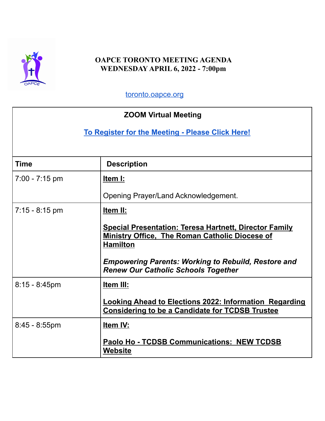

## **OAPCE TORONTO MEETING AGENDA WEDNESDAY APRIL 6, 2022 - 7:00pm**

[toronto.oapce.org](http://toronto.oapce.org)

| <b>ZOOM Virtual Meeting</b>                      |                                                                                                                                           |  |
|--------------------------------------------------|-------------------------------------------------------------------------------------------------------------------------------------------|--|
| To Register for the Meeting - Please Click Here! |                                                                                                                                           |  |
|                                                  |                                                                                                                                           |  |
| <b>Time</b>                                      | <b>Description</b>                                                                                                                        |  |
| 7:00 - 7:15 pm                                   | Item I:                                                                                                                                   |  |
|                                                  | Opening Prayer/Land Acknowledgement.                                                                                                      |  |
| $7:15 - 8:15$ pm                                 | Item II:                                                                                                                                  |  |
|                                                  | <b>Special Presentation: Teresa Hartnett, Director Family</b><br><b>Ministry Office, The Roman Catholic Diocese of</b><br><b>Hamilton</b> |  |
|                                                  | <b>Empowering Parents: Working to Rebuild, Restore and</b><br><b>Renew Our Catholic Schools Together</b>                                  |  |
| $8:15 - 8:45$ pm                                 | Item III:                                                                                                                                 |  |
|                                                  | <b>Looking Ahead to Elections 2022: Information Regarding</b><br><b>Considering to be a Candidate for TCDSB Trustee</b>                   |  |
| $8:45 - 8:55$ pm                                 | Item IV:                                                                                                                                  |  |
|                                                  | <b>Paolo Ho - TCDSB Communications: NEW TCDSB</b><br><b>Website</b>                                                                       |  |